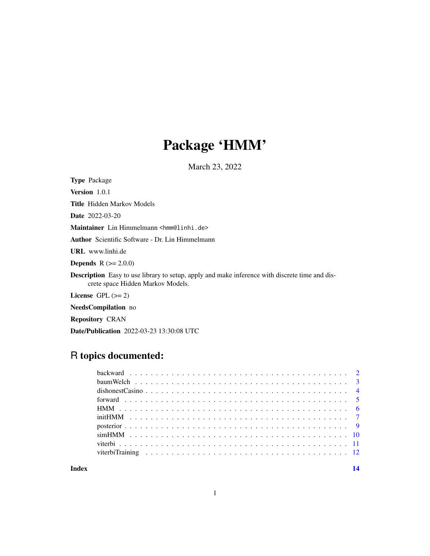## Package 'HMM'

March 23, 2022

Type Package

Version 1.0.1

Title Hidden Markov Models

Date 2022-03-20

Maintainer Lin Himmelmann <hmm@linhi.de>

Author Scientific Software - Dr. Lin Himmelmann

URL www.linhi.de

**Depends**  $R (= 2.0.0)$ 

Description Easy to use library to setup, apply and make inference with discrete time and discrete space Hidden Markov Models.

License GPL  $(>= 2)$ 

NeedsCompilation no

Repository CRAN

Date/Publication 2022-03-23 13:30:08 UTC

## R topics documented:

**Index** 2008 **[14](#page-13-0)**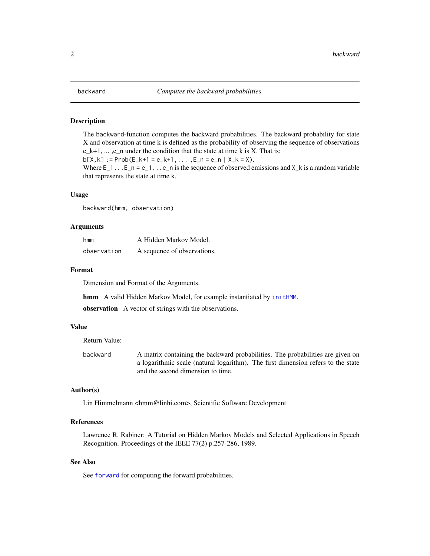<span id="page-1-1"></span><span id="page-1-0"></span>

#### Description

The backward-function computes the backward probabilities. The backward probability for state X and observation at time k is defined as the probability of observing the sequence of observations  $e_k+1, \ldots, e_n$  under the condition that the state at time k is X. That is:

 $b[X,k] := Prob(E_k+1 = e_k+1, \ldots, E_n = e_n | X_k = X).$ 

Where  $E_1$ ... $E_n$  =  $e_1$ ... $e_n$  is the sequence of observed emissions and  $X_k$  is a random variable that represents the state at time k.

## Usage

backward(hmm, observation)

## Arguments

| hmm         | A Hidden Markov Model.      |  |  |
|-------------|-----------------------------|--|--|
| observation | A sequence of observations. |  |  |

## Format

Dimension and Format of the Arguments.

hmm A valid Hidden Markov Model, for example instantiated by [initHMM](#page-6-1).

observation A vector of strings with the observations.

## Value

Return Value:

backward A matrix containing the backward probabilities. The probabilities are given on a logarithmic scale (natural logarithm). The first dimension refers to the state and the second dimension to time.

## Author(s)

Lin Himmelmann <hmm@linhi.com>, Scientific Software Development

#### References

Lawrence R. Rabiner: A Tutorial on Hidden Markov Models and Selected Applications in Speech Recognition. Proceedings of the IEEE 77(2) p.257-286, 1989.

#### See Also

See [forward](#page-4-1) for computing the forward probabilities.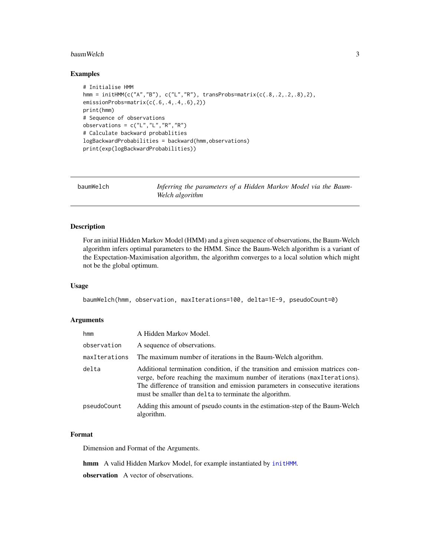#### <span id="page-2-0"></span>baumWelch 3

## Examples

```
# Initialise HMM
hmm = initHMM(c("A","B"), c("L","R"), transProbs=matrix(c(.8,.2,.2,.8),2),
emissionProbs=matrix(c(.6,.4,.4,.6),2))
print(hmm)
# Sequence of observations
observations = c("L","L","R","R")
# Calculate backward probablities
logBackwardProbabilities = backward(hmm,observations)
print(exp(logBackwardProbabilities))
```
<span id="page-2-1"></span>

| baumWelch | Inferring the parameters of a Hidden Markov Model via the Baum- |
|-----------|-----------------------------------------------------------------|
|           | Welch algorithm                                                 |

## Description

For an initial Hidden Markov Model (HMM) and a given sequence of observations, the Baum-Welch algorithm infers optimal parameters to the HMM. Since the Baum-Welch algorithm is a variant of the Expectation-Maximisation algorithm, the algorithm converges to a local solution which might not be the global optimum.

## Usage

baumWelch(hmm, observation, maxIterations=100, delta=1E-9, pseudoCount=0)

## Arguments

| hmm           | A Hidden Markov Model.                                                                                                                                                                                                                                                                                 |
|---------------|--------------------------------------------------------------------------------------------------------------------------------------------------------------------------------------------------------------------------------------------------------------------------------------------------------|
| observation   | A sequence of observations.                                                                                                                                                                                                                                                                            |
| maxIterations | The maximum number of iterations in the Baum-Welch algorithm.                                                                                                                                                                                                                                          |
| delta         | Additional termination condition, if the transition and emission matrices con-<br>verge, before reaching the maximum number of iterations (maxIterations).<br>The difference of transition and emission parameters in consecutive iterations<br>must be smaller than delta to terminate the algorithm. |
| pseudoCount   | Adding this amount of pseudo counts in the estimation-step of the Baum-Welch<br>algorithm.                                                                                                                                                                                                             |

## Format

Dimension and Format of the Arguments.

hmm A valid Hidden Markov Model, for example instantiated by [initHMM](#page-6-1).

observation A vector of observations.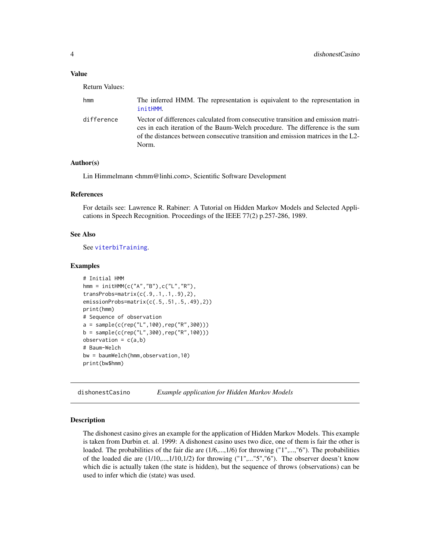#### <span id="page-3-0"></span>Value

Return Values:

| hmm        | The inferred HMM. The representation is equivalent to the representation in<br>initHMM.                                                                                                                                                                       |
|------------|---------------------------------------------------------------------------------------------------------------------------------------------------------------------------------------------------------------------------------------------------------------|
| difference | Vector of differences calculated from consecutive transition and emission matri-<br>ces in each iteration of the Baum-Welch procedure. The difference is the sum<br>of the distances between consecutive transition and emission matrices in the L2-<br>Norm. |

## Author(s)

Lin Himmelmann <hmm@linhi.com>, Scientific Software Development

#### References

For details see: Lawrence R. Rabiner: A Tutorial on Hidden Markov Models and Selected Applications in Speech Recognition. Proceedings of the IEEE 77(2) p.257-286, 1989.

#### See Also

See [viterbiTraining](#page-11-1).

## Examples

```
# Initial HMM
hmm = initHMM(c("A","B"),c("L","R"),
transProbs=matrix(c(.9,.1,.1,.9),2),
emissionProbs=matrix(c(.5,.51,.5,.49),2))
print(hmm)
# Sequence of observation
a = sample(c(rep("L", 100), rep("R", 300)))b = sample(c(rep("L",300),rep("R",100)))
observation = c(a,b)# Baum-Welch
bw = baumWelch(hmm,observation,10)
print(bw$hmm)
```
dishonestCasino *Example application for Hidden Markov Models*

## Description

The dishonest casino gives an example for the application of Hidden Markov Models. This example is taken from Durbin et. al. 1999: A dishonest casino uses two dice, one of them is fair the other is loaded. The probabilities of the fair die are  $(1/6, ..., 1/6)$  for throwing ("1",...,"6"). The probabilities of the loaded die are  $(1/10,...,1/10,1/2)$  for throwing  $("1",..."5", "6".$  The observer doesn't know which die is actually taken (the state is hidden), but the sequence of throws (observations) can be used to infer which die (state) was used.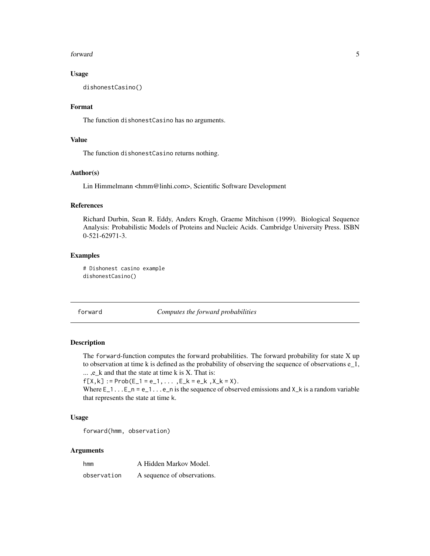#### <span id="page-4-0"></span>forward 5

## Usage

dishonestCasino()

## Format

The function dishonestCasino has no arguments.

## Value

The function dishonestCasino returns nothing.

## Author(s)

Lin Himmelmann <hmm@linhi.com>, Scientific Software Development

#### References

Richard Durbin, Sean R. Eddy, Anders Krogh, Graeme Mitchison (1999). Biological Sequence Analysis: Probabilistic Models of Proteins and Nucleic Acids. Cambridge University Press. ISBN 0-521-62971-3.

## Examples

```
# Dishonest casino example
dishonestCasino()
```
<span id="page-4-1"></span>forward *Computes the forward probabilities*

## Description

The forward-function computes the forward probabilities. The forward probability for state X up to observation at time k is defined as the probability of observing the sequence of observations e\_1, ... ,e\_k and that the state at time k is X. That is:

 $f[X,k] := Prob(E_1 = e_1, \ldots, E_k = e_k, X_k = X).$ 

Where  $E_1$ ... $E_n$  =  $e_1$ ... $e_n$  is the sequence of observed emissions and  $X_k$  is a random variable that represents the state at time k.

## Usage

```
forward(hmm, observation)
```
## Arguments

| hmm         | A Hidden Markov Model.      |  |  |
|-------------|-----------------------------|--|--|
| observation | A sequence of observations. |  |  |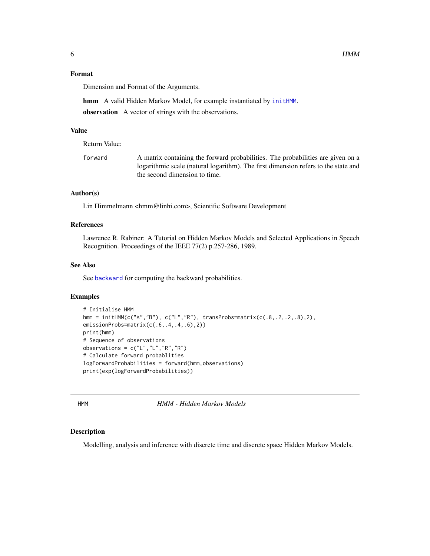## <span id="page-5-0"></span>Format

Dimension and Format of the Arguments.

hmm A valid Hidden Markov Model, for example instantiated by [initHMM](#page-6-1). observation A vector of strings with the observations.

#### Value

Return Value:

forward A matrix containing the forward probabilities. The probabilities are given on a logarithmic scale (natural logarithm). The first dimension refers to the state and the second dimension to time.

## Author(s)

Lin Himmelmann <hmm@linhi.com>, Scientific Software Development

## References

Lawrence R. Rabiner: A Tutorial on Hidden Markov Models and Selected Applications in Speech Recognition. Proceedings of the IEEE 77(2) p.257-286, 1989.

#### See Also

See [backward](#page-1-1) for computing the backward probabilities.

## Examples

```
# Initialise HMM
hmm = initHMM(c("A","B"), c("L","R"), transProbs=matrix(c(.8,.2,.2,.8),2),
emissionProbs=matrix(c(.6,.4,.4,.6),2))
print(hmm)
# Sequence of observations
observations = c("L", "L", "R", "R")# Calculate forward probablities
logForwardProbabilities = forward(hmm,observations)
print(exp(logForwardProbabilities))
```
HMM *HMM - Hidden Markov Models*

#### Description

Modelling, analysis and inference with discrete time and discrete space Hidden Markov Models.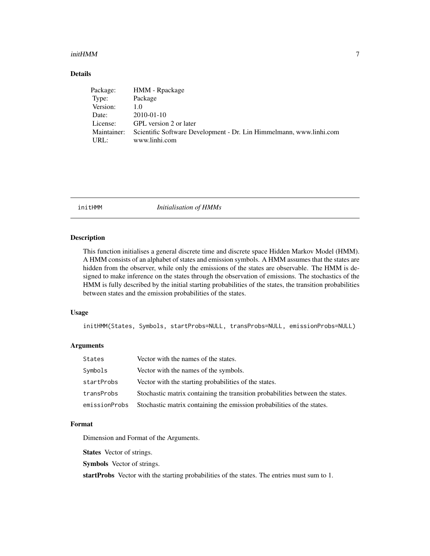#### <span id="page-6-0"></span> $\ddot{\mathbf{m}}$ init $\mathbf{HMM}$

## Details

| HMM - Rpackage                                                      |
|---------------------------------------------------------------------|
| Package                                                             |
| 1.0                                                                 |
| 2010-01-10                                                          |
| GPL version 2 or later                                              |
| Scientific Software Development - Dr. Lin Himmelmann, www.linhi.com |
| www.linhi.com                                                       |
|                                                                     |

<span id="page-6-1"></span>initHMM *Initialisation of HMMs*

## Description

This function initialises a general discrete time and discrete space Hidden Markov Model (HMM). A HMM consists of an alphabet of states and emission symbols. A HMM assumes that the states are hidden from the observer, while only the emissions of the states are observable. The HMM is designed to make inference on the states through the observation of emissions. The stochastics of the HMM is fully described by the initial starting probabilities of the states, the transition probabilities between states and the emission probabilities of the states.

## Usage

initHMM(States, Symbols, startProbs=NULL, transProbs=NULL, emissionProbs=NULL)

## Arguments

| States        | Vector with the names of the states.                                          |
|---------------|-------------------------------------------------------------------------------|
| Symbols       | Vector with the names of the symbols.                                         |
| startProbs    | Vector with the starting probabilities of the states.                         |
| transProbs    | Stochastic matrix containing the transition probabilities between the states. |
| emissionProbs | Stochastic matrix containing the emission probabilities of the states.        |

#### Format

Dimension and Format of the Arguments.

States Vector of strings.

Symbols Vector of strings.

startProbs Vector with the starting probabilities of the states. The entries must sum to 1.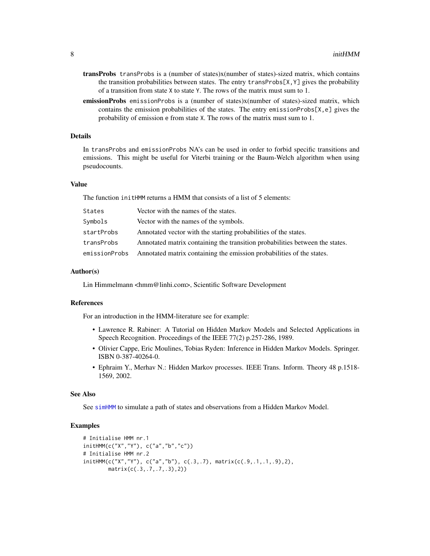- <span id="page-7-0"></span>transProbs transProbs is a (number of states)x(number of states)-sized matrix, which contains the transition probabilities between states. The entry transProbs $[X, Y]$  gives the probability of a transition from state X to state Y. The rows of the matrix must sum to 1.
- emissionProbs emissionProbs is a (number of states)x(number of states)-sized matrix, which contains the emission probabilities of the states. The entry emissionProbs $[X, e]$  gives the probability of emission e from state X. The rows of the matrix must sum to 1.

## Details

In transProbs and emissionProbs NA's can be used in order to forbid specific transitions and emissions. This might be useful for Viterbi training or the Baum-Welch algorithm when using pseudocounts.

## Value

The function initHMM returns a HMM that consists of a list of 5 elements:

| States        | Vector with the names of the states.                                         |
|---------------|------------------------------------------------------------------------------|
| Symbols       | Vector with the names of the symbols.                                        |
| startProbs    | Annotated vector with the starting probabilities of the states.              |
| transProbs    | Annotated matrix containing the transition probabilities between the states. |
| emissionProbs | Annotated matrix containing the emission probabilities of the states.        |

#### Author(s)

Lin Himmelmann <hmm@linhi.com>, Scientific Software Development

## References

For an introduction in the HMM-literature see for example:

- Lawrence R. Rabiner: A Tutorial on Hidden Markov Models and Selected Applications in Speech Recognition. Proceedings of the IEEE 77(2) p.257-286, 1989.
- Olivier Cappe, Eric Moulines, Tobias Ryden: Inference in Hidden Markov Models. Springer. ISBN 0-387-40264-0.
- Ephraim Y., Merhav N.: Hidden Markov processes. IEEE Trans. Inform. Theory 48 p.1518- 1569, 2002.

#### See Also

See [simHMM](#page-9-1) to simulate a path of states and observations from a Hidden Markov Model.

#### Examples

```
# Initialise HMM nr.1
initHMM(c("X","Y"), c("a","b","c"))
# Initialise HMM nr.2
initHMM(c("X","Y"), c("a","b"), c(.3,.7), matrix(c(.9,.1,.1,.9),2),
       matrix(c(.3,.7,.7,.3),2))
```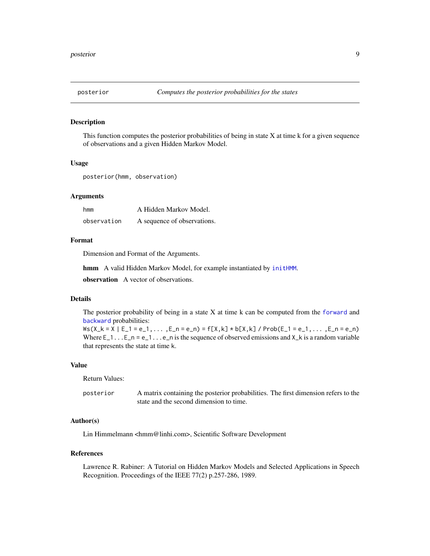<span id="page-8-0"></span>

#### Description

This function computes the posterior probabilities of being in state X at time k for a given sequence of observations and a given Hidden Markov Model.

#### Usage

posterior(hmm, observation)

#### Arguments

| hmm         | A Hidden Markov Model.      |  |  |
|-------------|-----------------------------|--|--|
| observation | A sequence of observations. |  |  |

## Format

Dimension and Format of the Arguments.

hmm A valid Hidden Markov Model, for example instantiated by [initHMM](#page-6-1).

observation A vector of observations.

## Details

The posterior probability of being in a state X at time k can be computed from the [forward](#page-4-1) and [backward](#page-1-1) probabilities:

 $Ws(X_k = X \mid E_1 = e_1, \ldots, E_n = e_n) = f[X_k] * b[X_k] / Prob(E_1 = e_1, \ldots, E_n = e_n)$ Where  $E_1$ ... $E_n$  =  $e_1$ ... $e_n$  is the sequence of observed emissions and  $X_k$  is a random variable that represents the state at time k.

#### Value

Return Values:

| posterior | A matrix containing the posterior probabilities. The first dimension refers to the |
|-----------|------------------------------------------------------------------------------------|
|           | state and the second dimension to time.                                            |

## Author(s)

Lin Himmelmann <hmm@linhi.com>, Scientific Software Development

#### References

Lawrence R. Rabiner: A Tutorial on Hidden Markov Models and Selected Applications in Speech Recognition. Proceedings of the IEEE 77(2) p.257-286, 1989.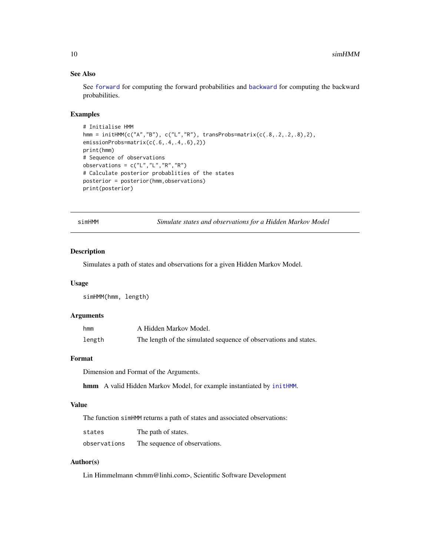## See Also

See [forward](#page-4-1) for computing the forward probabilities and [backward](#page-1-1) for computing the backward probabilities.

## Examples

```
# Initialise HMM
hmm = initHMM(c("A","B"), c("L","R"), transProbs=matrix(c(.8,.2,.2,.8),2),
emissionProbs=matrix(c(.6,.4,.4,.6),2))
print(hmm)
# Sequence of observations
observations = c("L", "L", "R", "R")# Calculate posterior probablities of the states
posterior = posterior(hmm,observations)
print(posterior)
```
<span id="page-9-1"></span>

|  | simHMM |  |  |
|--|--------|--|--|
|  |        |  |  |
|  |        |  |  |

Simulate states and observations for a Hidden Markov Model

#### Description

Simulates a path of states and observations for a given Hidden Markov Model.

#### Usage

simHMM(hmm, length)

### Arguments

| hmm    | A Hidden Markov Model.                                           |
|--------|------------------------------------------------------------------|
| length | The length of the simulated sequence of observations and states. |

## Format

Dimension and Format of the Arguments.

hmm A valid Hidden Markov Model, for example instantiated by [initHMM](#page-6-1).

## Value

The function simHMM returns a path of states and associated observations:

| states       | The path of states.           |
|--------------|-------------------------------|
| observations | The sequence of observations. |

## Author(s)

Lin Himmelmann <hmm@linhi.com>, Scientific Software Development

<span id="page-9-0"></span>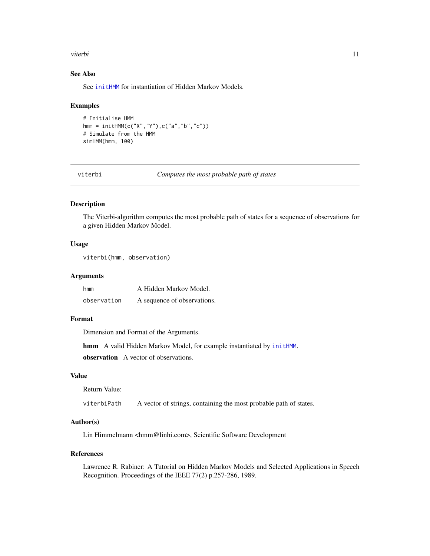#### <span id="page-10-0"></span>viterbi 11

## See Also

See [initHMM](#page-6-1) for instantiation of Hidden Markov Models.

#### Examples

```
# Initialise HMM
hmm = initHMM(c("X","Y"),c("a","b","c"))
# Simulate from the HMM
simHMM(hmm, 100)
```

| viterni |  |
|---------|--|
|         |  |
|         |  |

Computes the most probable path of states

## Description

The Viterbi-algorithm computes the most probable path of states for a sequence of observations for a given Hidden Markov Model.

## Usage

```
viterbi(hmm, observation)
```
#### **Arguments**

| hmm         | A Hidden Markov Model.      |
|-------------|-----------------------------|
| observation | A sequence of observations. |

#### Format

Dimension and Format of the Arguments.

hmm A valid Hidden Markov Model, for example instantiated by [initHMM](#page-6-1).

observation A vector of observations.

#### Value

```
Return Value:
```
viterbiPath A vector of strings, containing the most probable path of states.

## Author(s)

Lin Himmelmann <hmm@linhi.com>, Scientific Software Development

#### References

Lawrence R. Rabiner: A Tutorial on Hidden Markov Models and Selected Applications in Speech Recognition. Proceedings of the IEEE 77(2) p.257-286, 1989.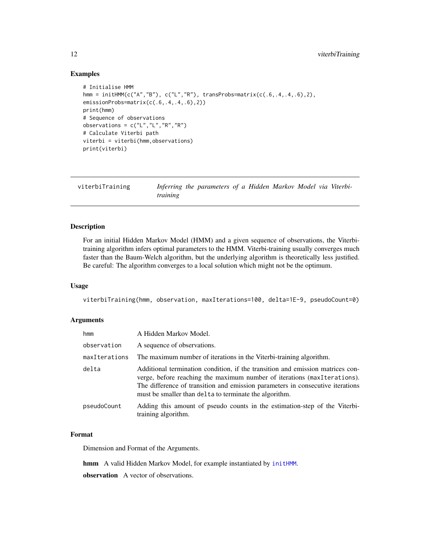## Examples

```
# Initialise HMM
hmm = initHMM(c("A","B"), c("L","R"), transProbs=matrix(c(.6,.4,.4,.6),2),
emissionProbs=matrix(c(.6,.4,.4,.6),2))
print(hmm)
# Sequence of observations
observations = c("L","L","R","R")
# Calculate Viterbi path
viterbi = viterbi(hmm,observations)
print(viterbi)
```
<span id="page-11-1"></span>

| viterbiTraining |          | Inferring the parameters of a Hidden Markov Model via Viterbi- |  |  |  |  |
|-----------------|----------|----------------------------------------------------------------|--|--|--|--|
|                 | training |                                                                |  |  |  |  |

## Description

For an initial Hidden Markov Model (HMM) and a given sequence of observations, the Viterbitraining algorithm infers optimal parameters to the HMM. Viterbi-training usually converges much faster than the Baum-Welch algorithm, but the underlying algorithm is theoretically less justified. Be careful: The algorithm converges to a local solution which might not be the optimum.

## Usage

viterbiTraining(hmm, observation, maxIterations=100, delta=1E-9, pseudoCount=0)

## Arguments

| hmm           | A Hidden Markov Model.                                                                                                                                                                                                                                                                                 |
|---------------|--------------------------------------------------------------------------------------------------------------------------------------------------------------------------------------------------------------------------------------------------------------------------------------------------------|
| observation   | A sequence of observations.                                                                                                                                                                                                                                                                            |
| maxIterations | The maximum number of iterations in the Viterbi-training algorithm.                                                                                                                                                                                                                                    |
| delta         | Additional termination condition, if the transition and emission matrices con-<br>verge, before reaching the maximum number of iterations (maxIterations).<br>The difference of transition and emission parameters in consecutive iterations<br>must be smaller than delta to terminate the algorithm. |
| pseudoCount   | Adding this amount of pseudo counts in the estimation-step of the Viterbi-<br>training algorithm.                                                                                                                                                                                                      |

## Format

Dimension and Format of the Arguments.

hmm A valid Hidden Markov Model, for example instantiated by [initHMM](#page-6-1).

observation A vector of observations.

<span id="page-11-0"></span>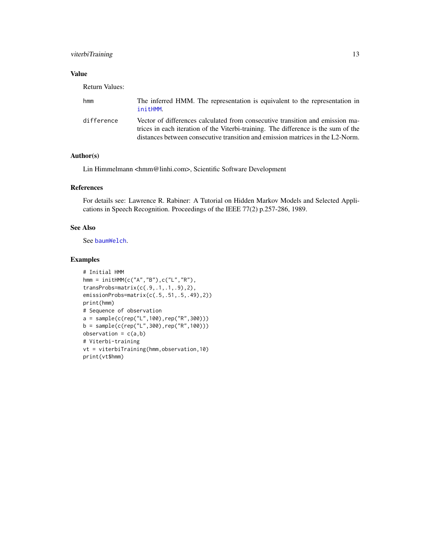## <span id="page-12-0"></span>viterbiTraining 13

## Value

Return Values:

| hmm        | The inferred HMM. The representation is equivalent to the representation in<br>initHMM.                                                                                                                                                               |
|------------|-------------------------------------------------------------------------------------------------------------------------------------------------------------------------------------------------------------------------------------------------------|
| difference | Vector of differences calculated from consecutive transition and emission ma-<br>trices in each iteration of the Viterbi-training. The difference is the sum of the<br>distances between consecutive transition and emission matrices in the L2-Norm. |

## Author(s)

Lin Himmelmann <hmm@linhi.com>, Scientific Software Development

## References

For details see: Lawrence R. Rabiner: A Tutorial on Hidden Markov Models and Selected Applications in Speech Recognition. Proceedings of the IEEE 77(2) p.257-286, 1989.

## See Also

See [baumWelch](#page-2-1).

## Examples

```
# Initial HMM
hmm = initHMM(c("A","B"),c("L","R"),
transProbs=matrix(c(.9,.1,.1,.9),2),
emissionProbs=matrix(c(.5,.51,.5,.49),2))
print(hmm)
# Sequence of observation
a = sample(c(rep("L", 100), rep("R", 300)))b = sample(c(rep("L", 300), rep("R", 100)))observation = c(a,b)# Viterbi-training
vt = viterbiTraining(hmm,observation,10)
print(vt$hmm)
```